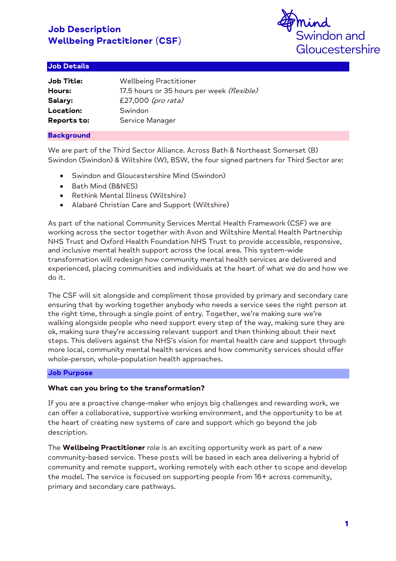

## Job Details

| Job Title:  | <b>Wellbeing Practitioner</b>              |
|-------------|--------------------------------------------|
| Hours:      | 17.5 hours or 35 hours per week (flexible) |
| Salary:     | £27,000 (pro rata)                         |
| Location:   | Swindon                                    |
| Reports to: | Service Manager                            |

## **Background**

We are part of the Third Sector Alliance. Across Bath & Northeast Somerset (B) Swindon (Swindon) & Wiltshire (W), BSW, the four signed partners for Third Sector are:

- Swindon and Gloucestershire Mind (Swindon)
- Bath Mind (B&NES)
- Rethink Mental Illness (Wiltshire)
- Alabaré Christian Care and Support (Wiltshire)

As part of the national Community Services Mental Health Framework (CSF) we are working across the sector together with Avon and Wiltshire Mental Health Partnership NHS Trust and Oxford Health Foundation NHS Trust to provide accessible, responsive, and inclusive mental health support across the local area. This system-wide transformation will redesign how community mental health services are delivered and experienced, placing communities and individuals at the heart of what we do and how we do it.

The CSF will sit alongside and compliment those provided by primary and secondary care ensuring that by working together anybody who needs a service sees the right person at the right time, through a single point of entry. Together, we're making sure we're walking alongside people who need support every step of the way, making sure they are ok, making sure they're accessing relevant support and then thinking about their next steps. This delivers against the NHS's vision for mental health care and support through more local, community mental health services and how community services should offer whole-person, whole-population health approaches.

#### Job Purpose

#### **What can you bring to the transformation?**

If you are a proactive change-maker who enjoys big challenges and rewarding work, we can offer a collaborative, supportive working environment, and the opportunity to be at the heart of creating new systems of care and support which go beyond the job description.

The **Wellbeing Practitioner** role is an exciting opportunity work as part of a new community-based service. These posts will be based in each area delivering a hybrid of community and remote support, working remotely with each other to scope and develop the model. The service is focused on supporting people from 16+ across community, primary and secondary care pathways.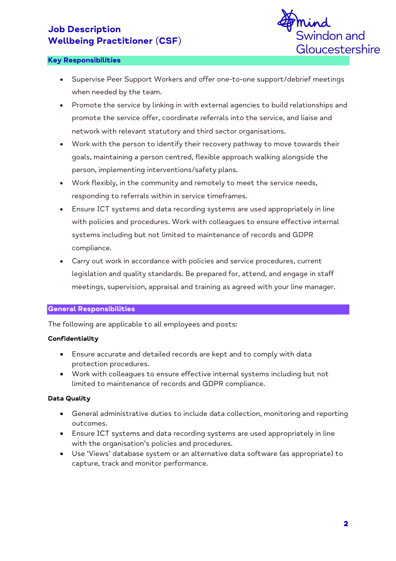

#### Key Responsibilities

- Supervise Peer Support Workers and offer one-to-one support/debrief meetings when needed by the team.
- Promote the service by linking in with external agencies to build relationships and promote the service offer, coordinate referrals into the service, and liaise and network with relevant statutory and third sector organisations.
- Work with the person to identify their recovery pathway to move towards their goals, maintaining a person centred, flexible approach walking alongside the person, implementing interventions/safety plans.
- Work flexibly, in the community and remotely to meet the service needs, responding to referrals within in service timeframes.
- Ensure ICT systems and data recording systems are used appropriately in line with policies and procedures. Work with colleagues to ensure effective internal systems including but not limited to maintenance of records and GDPR compliance.
- Carry out work in accordance with policies and service procedures, current legislation and quality standards. Be prepared for, attend, and engage in staff meetings, supervision, appraisal and training as agreed with your line manager.

## General Responsibilities

The following are applicable to all employees and posts:

#### **Confidentiality**

- Ensure accurate and detailed records are kept and to comply with data protection procedures.
- Work with colleagues to ensure effective internal systems including but not limited to maintenance of records and GDPR compliance.

## **Data Quality**

- General administrative duties to include data collection, monitoring and reporting outcomes.
- Ensure ICT systems and data recording systems are used appropriately in line with the organisation's policies and procedures.
- Use 'Views' database system or an alternative data software (as appropriate) to capture, track and monitor performance.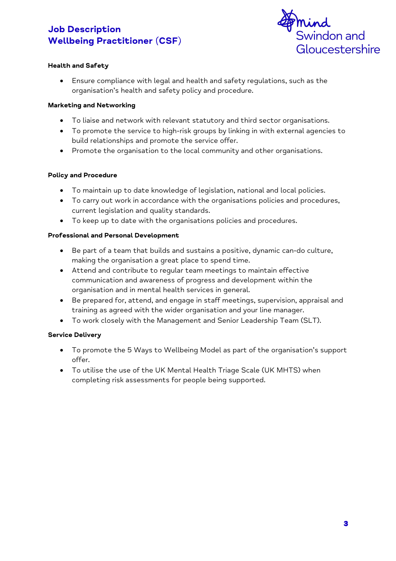

## **Health and Safety**

• Ensure compliance with legal and health and safety regulations, such as the organisation's health and safety policy and procedure.

#### **Marketing and Networking**

- To liaise and network with relevant statutory and third sector organisations.
- To promote the service to high-risk groups by linking in with external agencies to build relationships and promote the service offer.
- Promote the organisation to the local community and other organisations.

## **Policy and Procedure**

- To maintain up to date knowledge of legislation, national and local policies.
- To carry out work in accordance with the organisations policies and procedures, current legislation and quality standards.
- To keep up to date with the organisations policies and procedures.

## **Professional and Personal Development**

- Be part of a team that builds and sustains a positive, dynamic can-do culture, making the organisation a great place to spend time.
- Attend and contribute to regular team meetings to maintain effective communication and awareness of progress and development within the organisation and in mental health services in general.
- Be prepared for, attend, and engage in staff meetings, supervision, appraisal and training as agreed with the wider organisation and your line manager.
- To work closely with the Management and Senior Leadership Team (SLT).

## **Service Delivery**

- To promote the 5 Ways to Wellbeing Model as part of the organisation's support offer.
- To utilise the use of the UK Mental Health Triage Scale (UK MHTS) when completing risk assessments for people being supported.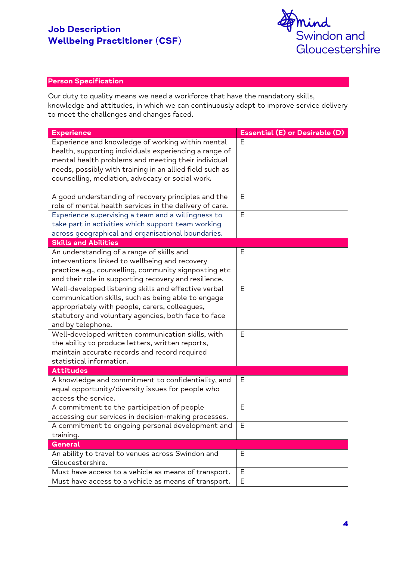

## Person Specification

Our duty to quality means we need a workforce that have the mandatory skills, knowledge and attitudes, in which we can continuously adapt to improve service delivery to meet the challenges and changes faced.

| <b>Experience</b>                                                         | Essential (E) or Desirable (D) |
|---------------------------------------------------------------------------|--------------------------------|
| Experience and knowledge of working within mental                         | E                              |
| health, supporting individuals experiencing a range of                    |                                |
| mental health problems and meeting their individual                       |                                |
| needs, possibly with training in an allied field such as                  |                                |
| counselling, mediation, advocacy or social work.                          |                                |
| A good understanding of recovery principles and the                       | Е                              |
| role of mental health services in the delivery of care.                   |                                |
| Experience supervising a team and a willingness to                        | E                              |
| take part in activities which support team working                        |                                |
| across geographical and organisational boundaries.                        |                                |
| <b>Skills and Abilities</b>                                               |                                |
| An understanding of a range of skills and                                 | Е                              |
| interventions linked to wellbeing and recovery                            |                                |
| practice e.g., counselling, community signposting etc                     |                                |
| and their role in supporting recovery and resilience.                     |                                |
| Well-developed listening skills and effective verbal                      | E                              |
| communication skills, such as being able to engage                        |                                |
| appropriately with people, carers, colleagues,                            |                                |
| statutory and voluntary agencies, both face to face                       |                                |
| and by telephone.                                                         |                                |
| Well-developed written communication skills, with                         | E                              |
| the ability to produce letters, written reports,                          |                                |
| maintain accurate records and record required<br>statistical information. |                                |
| <b>Attitudes</b>                                                          |                                |
| A knowledge and commitment to confidentiality, and                        | Е                              |
| equal opportunity/diversity issues for people who                         |                                |
| access the service.                                                       |                                |
| A commitment to the participation of people                               | E                              |
| accessing our services in decision-making processes.                      |                                |
| A commitment to ongoing personal development and                          | $\mathsf E$                    |
| training.                                                                 |                                |
| <b>General</b>                                                            |                                |
| An ability to travel to venues across Swindon and                         | E                              |
| Gloucestershire.                                                          |                                |
| Must have access to a vehicle as means of transport.                      | Е                              |
| Must have access to a vehicle as means of transport.                      | E                              |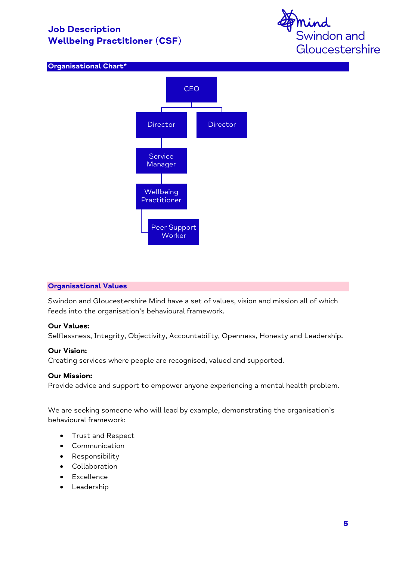





#### **Organisational Values**

Swindon and Gloucestershire Mind have a set of values, vision and mission all of which feeds into the organisation's behavioural framework.

#### **Our Values:**

Selflessness, Integrity, Objectivity, Accountability, Openness, Honesty and Leadership.

#### **Our Vision:**

Creating services where people are recognised, valued and supported.

## **Our Mission:**

Provide advice and support to empower anyone experiencing a mental health problem.

We are seeking someone who will lead by example, demonstrating the organisation's behavioural framework:

- Trust and Respect
- Communication
- Responsibility
- Collaboration
- Excellence
- Leadership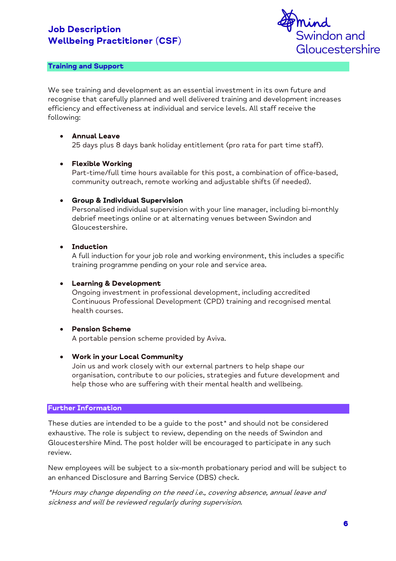

## **Training and Support**

We see training and development as an essential investment in its own future and recognise that carefully planned and well delivered training and development increases efficiency and effectiveness at individual and service levels. All staff receive the following:

## • **Annual Leave**

25 days plus 8 days bank holiday entitlement (pro rata for part time staff).

## • **Flexible Working**

Part-time/full time hours available for this post, a combination of office-based, community outreach, remote working and adjustable shifts (if needed).

## • **Group & Individual Supervision**

Personalised individual supervision with your line manager, including bi-monthly debrief meetings online or at alternating venues between Swindon and Gloucestershire.

#### • **Induction**

A full induction for your job role and working environment, this includes a specific training programme pending on your role and service area.

#### • **Learning & Development**

Ongoing investment in professional development, including accredited Continuous Professional Development (CPD) training and recognised mental health courses.

#### • **Pension Scheme**

A portable pension scheme provided by Aviva.

#### • **Work in your Local Community**

Join us and work closely with our external partners to help shape our organisation, contribute to our policies, strategies and future development and help those who are suffering with their mental health and wellbeing.

#### **Further Information**

These duties are intended to be a guide to the post\* and should not be considered exhaustive. The role is subject to review, depending on the needs of Swindon and Gloucestershire Mind. The post holder will be encouraged to participate in any such review.

New employees will be subject to a six-month probationary period and will be subject to an enhanced Disclosure and Barring Service (DBS) check.

\*Hours may change depending on the need i.e., covering absence, annual leave and sickness and will be reviewed regularly during supervision.